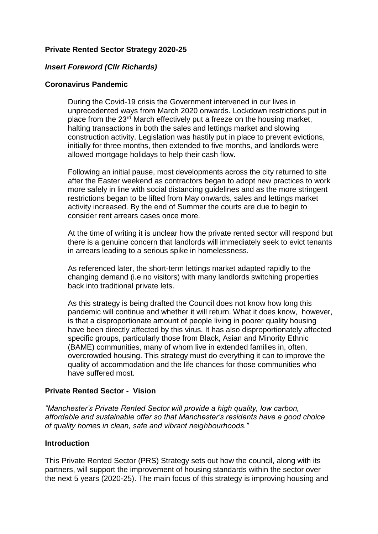## **Private Rented Sector Strategy 2020-25**

## *Insert Foreword (Cllr Richards)*

#### **Coronavirus Pandemic**

During the Covid-19 crisis the Government intervened in our lives in unprecedented ways from March 2020 onwards. Lockdown restrictions put in place from the 23rd March effectively put a freeze on the housing market, halting transactions in both the sales and lettings market and slowing construction activity. Legislation was hastily put in place to prevent evictions, initially for three months, then extended to five months, and landlords were allowed mortgage holidays to help their cash flow.

Following an initial pause, most developments across the city returned to site after the Easter weekend as contractors began to adopt new practices to work more safely in line with social distancing guidelines and as the more stringent restrictions began to be lifted from May onwards, sales and lettings market activity increased. By the end of Summer the courts are due to begin to consider rent arrears cases once more.

At the time of writing it is unclear how the private rented sector will respond but there is a genuine concern that landlords will immediately seek to evict tenants in arrears leading to a serious spike in homelessness.

As referenced later, the short-term lettings market adapted rapidly to the changing demand (i.e no visitors) with many landlords switching properties back into traditional private lets.

As this strategy is being drafted the Council does not know how long this pandemic will continue and whether it will return. What it does know, however, is that a disproportionate amount of people living in poorer quality housing have been directly affected by this virus. It has also disproportionately affected specific groups, particularly those from Black, Asian and Minority Ethnic (BAME) communities, many of whom live in extended families in, often, overcrowded housing. This strategy must do everything it can to improve the quality of accommodation and the life chances for those communities who have suffered most.

#### **Private Rented Sector - Vision**

*"Manchester's Private Rented Sector will provide a high quality, low carbon, affordable and sustainable offer so that Manchester's residents have a good choice of quality homes in clean, safe and vibrant neighbourhoods."* 

#### **Introduction**

This Private Rented Sector (PRS) Strategy sets out how the council, along with its partners, will support the improvement of housing standards within the sector over the next 5 years (2020-25). The main focus of this strategy is improving housing and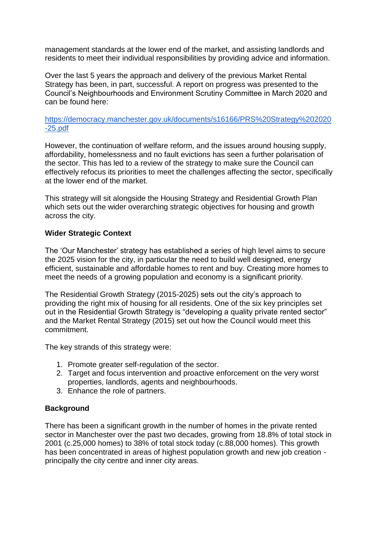management standards at the lower end of the market, and assisting landlords and residents to meet their individual responsibilities by providing advice and information.

Over the last 5 years the approach and delivery of the previous Market Rental Strategy has been, in part, successful. A report on progress was presented to the Council's Neighbourhoods and Environment Scrutiny Committee in March 2020 and can be found here:

#### [https://democracy.manchester.gov.uk/documents/s16166/PRS%20Strategy%202020](https://democracy.manchester.gov.uk/documents/s16166/PRS%20Strategy%202020-25.pdf) [-25.pdf](https://democracy.manchester.gov.uk/documents/s16166/PRS%20Strategy%202020-25.pdf)

However, the continuation of welfare reform, and the issues around housing supply, affordability, homelessness and no fault evictions has seen a further polarisation of the sector. This has led to a review of the strategy to make sure the Council can effectively refocus its priorities to meet the challenges affecting the sector, specifically at the lower end of the market.

This strategy will sit alongside the Housing Strategy and Residential Growth Plan which sets out the wider overarching strategic objectives for housing and growth across the city.

## **Wider Strategic Context**

The 'Our Manchester' strategy has established a series of high level aims to secure the 2025 vision for the city, in particular the need to build well designed, energy efficient, sustainable and affordable homes to rent and buy. Creating more homes to meet the needs of a growing population and economy is a significant priority.

The Residential Growth Strategy (2015-2025) sets out the city's approach to providing the right mix of housing for all residents. One of the six key principles set out in the Residential Growth Strategy is "developing a quality private rented sector" and the Market Rental Strategy (2015) set out how the Council would meet this commitment.

The key strands of this strategy were:

- 1. Promote greater self-regulation of the sector.
- 2. Target and focus intervention and proactive enforcement on the very worst properties, landlords, agents and neighbourhoods.
- 3. Enhance the role of partners.

# **Background**

There has been a significant growth in the number of homes in the private rented sector in Manchester over the past two decades, growing from 18.8% of total stock in 2001 (c.25,000 homes) to 38% of total stock today (c.88,000 homes). This growth has been concentrated in areas of highest population growth and new job creation principally the city centre and inner city areas.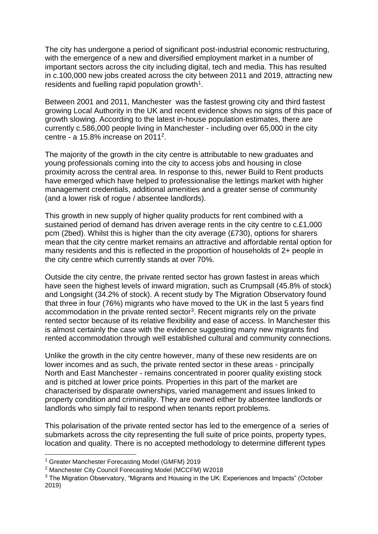The city has undergone a period of significant post-industrial economic restructuring, with the emergence of a new and diversified employment market in a number of important sectors across the city including digital, tech and media. This has resulted in c.100,000 new jobs created across the city between 2011 and 2019, attracting new residents and fuelling rapid population growth $1$ .

Between 2001 and 2011, Manchester was the fastest growing city and third fastest growing Local Authority in the UK and recent evidence shows no signs of this pace of growth slowing. According to the latest in-house population estimates, there are currently c.586,000 people living in Manchester - including over 65,000 in the city centre - a 15.8% increase on 2011<sup>2</sup>.

The majority of the growth in the city centre is attributable to new graduates and young professionals coming into the city to access jobs and housing in close proximity across the central area. In response to this, newer Build to Rent products have emerged which have helped to professionalise the lettings market with higher management credentials, additional amenities and a greater sense of community (and a lower risk of rogue / absentee landlords).

This growth in new supply of higher quality products for rent combined with a sustained period of demand has driven average rents in the city centre to c.£1,000 pcm (2bed). Whilst this is higher than the city average (£730), options for sharers mean that the city centre market remains an attractive and affordable rental option for many residents and this is reflected in the proportion of households of 2+ people in the city centre which currently stands at over 70%.

Outside the city centre, the private rented sector has grown fastest in areas which have seen the highest levels of inward migration, such as Crumpsall (45.8% of stock) and Longsight (34.2% of stock). A recent study by The Migration Observatory found that three in four (76%) migrants who have moved to the UK in the last 5 years find accommodation in the private rented sector<sup>3</sup>. Recent migrants rely on the private rented sector because of its relative flexibility and ease of access. In Manchester this is almost certainly the case with the evidence suggesting many new migrants find rented accommodation through well established cultural and community connections.

Unlike the growth in the city centre however, many of these new residents are on lower incomes and as such, the private rented sector in these areas - principally North and East Manchester - remains concentrated in poorer quality existing stock and is pitched at lower price points. Properties in this part of the market are characterised by disparate ownerships, varied management and issues linked to property condition and criminality. They are owned either by absentee landlords or landlords who simply fail to respond when tenants report problems.

This polarisation of the private rented sector has led to the emergence of a series of submarkets across the city representing the full suite of price points, property types, location and quality. There is no accepted methodology to determine different types

<sup>1</sup> Greater Manchester Forecasting Model (GMFM) 2019

<sup>2</sup> Manchester City Council Forecasting Model (MCCFM) W2018

<sup>&</sup>lt;sup>3</sup> The Migration Observatory, "Migrants and Housing in the UK: Experiences and Impacts" (October 2019)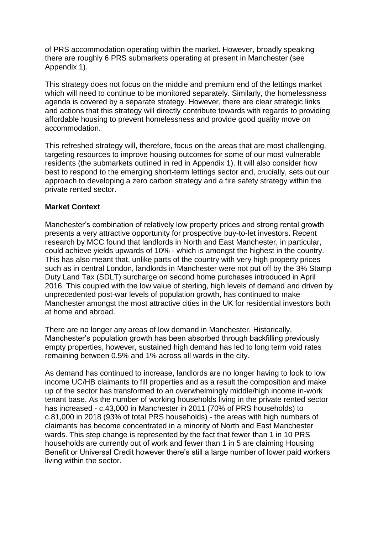of PRS accommodation operating within the market. However, broadly speaking there are roughly 6 PRS submarkets operating at present in Manchester (see Appendix 1).

This strategy does not focus on the middle and premium end of the lettings market which will need to continue to be monitored separately. Similarly, the homelessness agenda is covered by a separate strategy. However, there are clear strategic links and actions that this strategy will directly contribute towards with regards to providing affordable housing to prevent homelessness and provide good quality move on accommodation.

This refreshed strategy will, therefore, focus on the areas that are most challenging, targeting resources to improve housing outcomes for some of our most vulnerable residents (the submarkets outlined in red in Appendix 1). It will also consider how best to respond to the emerging short-term lettings sector and, crucially, sets out our approach to developing a zero carbon strategy and a fire safety strategy within the private rented sector.

## **Market Context**

Manchester's combination of relatively low property prices and strong rental growth presents a very attractive opportunity for prospective buy-to-let investors. Recent research by MCC found that landlords in North and East Manchester, in particular, could achieve yields upwards of 10% - which is amongst the highest in the country. This has also meant that, unlike parts of the country with very high property prices such as in central London, landlords in Manchester were not put off by the 3% Stamp Duty Land Tax (SDLT) surcharge on second home purchases introduced in April 2016. This coupled with the low value of sterling, high levels of demand and driven by unprecedented post-war levels of population growth, has continued to make Manchester amongst the most attractive cities in the UK for residential investors both at home and abroad.

There are no longer any areas of low demand in Manchester. Historically, Manchester's population growth has been absorbed through backfilling previously empty properties, however, sustained high demand has led to long term void rates remaining between 0.5% and 1% across all wards in the city.

As demand has continued to increase, landlords are no longer having to look to low income UC/HB claimants to fill properties and as a result the composition and make up of the sector has transformed to an overwhelmingly middle/high income in-work tenant base. As the number of working households living in the private rented sector has increased - c.43,000 in Manchester in 2011 (70% of PRS households) to c.81,000 in 2018 (93% of total PRS households) - the areas with high numbers of claimants has become concentrated in a minority of North and East Manchester wards. This step change is represented by the fact that fewer than 1 in 10 PRS households are currently out of work and fewer than 1 in 5 are claiming Housing Benefit or Universal Credit however there's still a large number of lower paid workers living within the sector.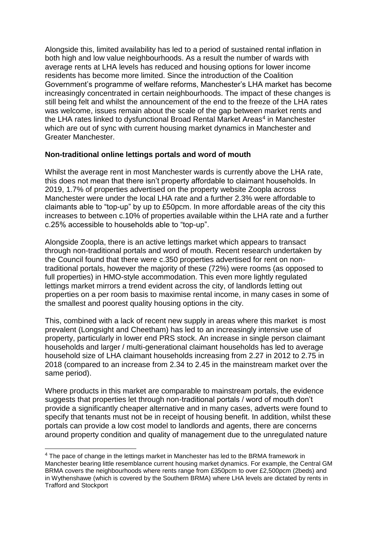Alongside this, limited availability has led to a period of sustained rental inflation in both high and low value neighbourhoods. As a result the number of wards with average rents at LHA levels has reduced and housing options for lower income residents has become more limited. Since the introduction of the Coalition Government's programme of welfare reforms, Manchester's LHA market has become increasingly concentrated in certain neighbourhoods. The impact of these changes is still being felt and whilst the announcement of the end to the freeze of the LHA rates was welcome, issues remain about the scale of the gap between market rents and the LHA rates linked to dysfunctional Broad Rental Market Areas<sup>4</sup> in Manchester which are out of sync with current housing market dynamics in Manchester and Greater Manchester.

## **Non-traditional online lettings portals and word of mouth**

Whilst the average rent in most Manchester wards is currently above the LHA rate, this does not mean that there isn't property affordable to claimant households. In 2019, 1.7% of properties advertised on the property website Zoopla across Manchester were under the local LHA rate and a further 2.3% were affordable to claimants able to "top-up" by up to £50pcm. In more affordable areas of the city this increases to between c.10% of properties available within the LHA rate and a further c.25% accessible to households able to "top-up".

Alongside Zoopla, there is an active lettings market which appears to transact through non-traditional portals and word of mouth. Recent research undertaken by the Council found that there were c.350 properties advertised for rent on nontraditional portals, however the majority of these (72%) were rooms (as opposed to full properties) in HMO-style accommodation. This even more lightly regulated lettings market mirrors a trend evident across the city, of landlords letting out properties on a per room basis to maximise rental income, in many cases in some of the smallest and poorest quality housing options in the city.

This, combined with a lack of recent new supply in areas where this market is most prevalent (Longsight and Cheetham) has led to an increasingly intensive use of property, particularly in lower end PRS stock. An increase in single person claimant households and larger / multi-generational claimant households has led to average household size of LHA claimant households increasing from 2.27 in 2012 to 2.75 in 2018 (compared to an increase from 2.34 to 2.45 in the mainstream market over the same period).

Where products in this market are comparable to mainstream portals, the evidence suggests that properties let through non-traditional portals / word of mouth don't provide a significantly cheaper alternative and in many cases, adverts were found to specify that tenants must not be in receipt of housing benefit. In addition, whilst these portals can provide a low cost model to landlords and agents, there are concerns around property condition and quality of management due to the unregulated nature

<sup>4</sup> The pace of change in the lettings market in Manchester has led to the BRMA framework in Manchester bearing little resemblance current housing market dynamics. For example, the Central GM BRMA covers the neighbourhoods where rents range from £350pcm to over £2,500pcm (2beds) and in Wythenshawe (which is covered by the Southern BRMA) where LHA levels are dictated by rents in Trafford and Stockport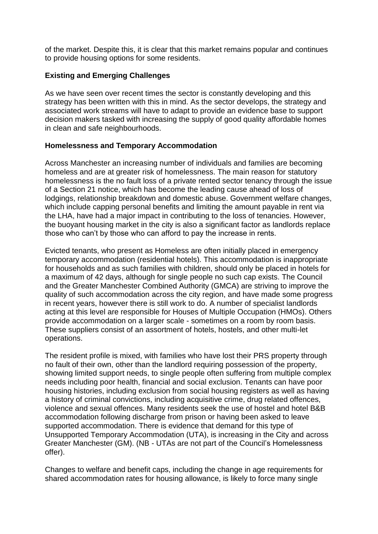of the market. Despite this, it is clear that this market remains popular and continues to provide housing options for some residents.

## **Existing and Emerging Challenges**

As we have seen over recent times the sector is constantly developing and this strategy has been written with this in mind. As the sector develops, the strategy and associated work streams will have to adapt to provide an evidence base to support decision makers tasked with increasing the supply of good quality affordable homes in clean and safe neighbourhoods.

#### **Homelessness and Temporary Accommodation**

Across Manchester an increasing number of individuals and families are becoming homeless and are at greater risk of homelessness. The main reason for statutory homelessness is the no fault loss of a private rented sector tenancy through the issue of a Section 21 notice, which has become the leading cause ahead of loss of lodgings, relationship breakdown and domestic abuse. Government welfare changes, which include capping personal benefits and limiting the amount payable in rent via the LHA, have had a major impact in contributing to the loss of tenancies. However, the buoyant housing market in the city is also a significant factor as landlords replace those who can't by those who can afford to pay the increase in rents.

Evicted tenants, who present as Homeless are often initially placed in emergency temporary accommodation (residential hotels). This accommodation is inappropriate for households and as such families with children, should only be placed in hotels for a maximum of 42 days, although for single people no such cap exists. The Council and the Greater Manchester Combined Authority (GMCA) are striving to improve the quality of such accommodation across the city region, and have made some progress in recent years, however there is still work to do. A number of specialist landlords acting at this level are responsible for Houses of Multiple Occupation (HMOs). Others provide accommodation on a larger scale - sometimes on a room by room basis. These suppliers consist of an assortment of hotels, hostels, and other multi-let operations.

The resident profile is mixed, with families who have lost their PRS property through no fault of their own, other than the landlord requiring possession of the property, showing limited support needs, to single people often suffering from multiple complex needs including poor health, financial and social exclusion. Tenants can have poor housing histories, including exclusion from social housing registers as well as having a history of criminal convictions, including acquisitive crime, drug related offences, violence and sexual offences. Many residents seek the use of hostel and hotel B&B accommodation following discharge from prison or having been asked to leave supported accommodation. There is evidence that demand for this type of Unsupported Temporary Accommodation (UTA), is increasing in the City and across Greater Manchester (GM). (NB - UTAs are not part of the Council's Homelessness offer).

Changes to welfare and benefit caps, including the change in age requirements for shared accommodation rates for housing allowance, is likely to force many single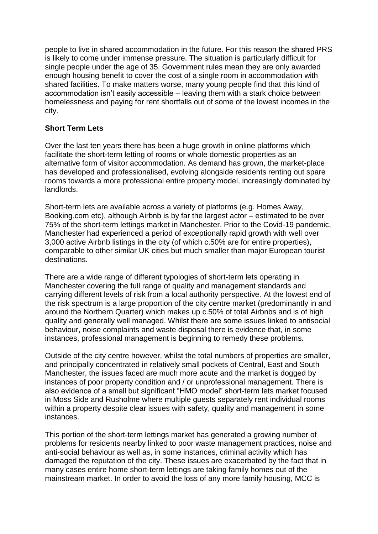people to live in shared accommodation in the future. For this reason the shared PRS is likely to come under immense pressure. The situation is particularly difficult for single people under the age of 35. Government rules mean they are only awarded enough housing benefit to cover the cost of a single room in accommodation with shared facilities. To make matters worse, many young people find that this kind of accommodation isn't easily accessible – leaving them with a stark choice between homelessness and paying for rent shortfalls out of some of the lowest incomes in the city.

# **Short Term Lets**

Over the last ten years there has been a huge growth in online platforms which facilitate the short-term letting of rooms or whole domestic properties as an alternative form of visitor accommodation. As demand has grown, the market-place has developed and professionalised, evolving alongside residents renting out spare rooms towards a more professional entire property model, increasingly dominated by landlords.

Short-term lets are available across a variety of platforms (e.g. Homes Away, Booking.com etc), although Airbnb is by far the largest actor – estimated to be over 75% of the short-term lettings market in Manchester. Prior to the Covid-19 pandemic, Manchester had experienced a period of exceptionally rapid growth with well over 3,000 active Airbnb listings in the city (of which c.50% are for entire properties), comparable to other similar UK cities but much smaller than major European tourist destinations.

There are a wide range of different typologies of short-term lets operating in Manchester covering the full range of quality and management standards and carrying different levels of risk from a local authority perspective*.* At the lowest end of the risk spectrum is a large proportion of the city centre market (predominantly in and around the Northern Quarter) which makes up c.50% of total Airbnbs and is of high quality and generally well managed. Whilst there are some issues linked to antisocial behaviour, noise complaints and waste disposal there is evidence that, in some instances, professional management is beginning to remedy these problems.

Outside of the city centre however, whilst the total numbers of properties are smaller, and principally concentrated in relatively small pockets of Central, East and South Manchester, the issues faced are much more acute and the market is dogged by instances of poor property condition and / or unprofessional management. There is also evidence of a small but significant "HMO model" short-term lets market focused in Moss Side and Rusholme where multiple guests separately rent individual rooms within a property despite clear issues with safety, quality and management in some instances.

This portion of the short-term lettings market has generated a growing number of problems for residents nearby linked to poor waste management practices, noise and anti-social behaviour as well as, in some instances, criminal activity which has damaged the reputation of the city. These issues are exacerbated by the fact that in many cases entire home short-term lettings are taking family homes out of the mainstream market. In order to avoid the loss of any more family housing, MCC is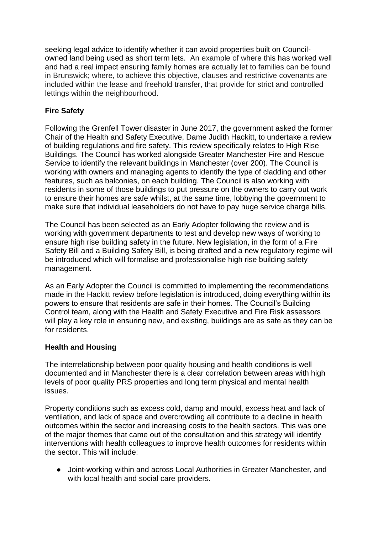seeking legal advice to identify whether it can avoid properties built on Councilowned land being used as short term lets. An example of where this has worked well and had a real impact ensuring family homes are actually let to families can be found in Brunswick; where, to achieve this objective, clauses and restrictive covenants are included within the lease and freehold transfer, that provide for strict and controlled lettings within the neighbourhood.

# **Fire Safety**

Following the Grenfell Tower disaster in June 2017, the government asked the former Chair of the Health and Safety Executive, Dame Judith Hackitt, to undertake a review of building regulations and fire safety. This review specifically relates to High Rise Buildings. The Council has worked alongside Greater Manchester Fire and Rescue Service to identify the relevant buildings in Manchester (over 200). The Council is working with owners and managing agents to identify the type of cladding and other features, such as balconies, on each building. The Council is also working with residents in some of those buildings to put pressure on the owners to carry out work to ensure their homes are safe whilst, at the same time, lobbying the government to make sure that individual leaseholders do not have to pay huge service charge bills.

The Council has been selected as an Early Adopter following the review and is working with government departments to test and develop new ways of working to ensure high rise building safety in the future. New legislation, in the form of a Fire Safety Bill and a Building Safety Bill, is being drafted and a new regulatory regime will be introduced which will formalise and professionalise high rise building safety management.

As an Early Adopter the Council is committed to implementing the recommendations made in the Hackitt review before legislation is introduced, doing everything within its powers to ensure that residents are safe in their homes. The Council's Building Control team, along with the Health and Safety Executive and Fire Risk assessors will play a key role in ensuring new, and existing, buildings are as safe as they can be for residents.

# **Health and Housing**

The interrelationship between poor quality housing and health conditions is well documented and in Manchester there is a clear correlation between areas with high levels of poor quality PRS properties and long term physical and mental health issues.

Property conditions such as excess cold, damp and mould, excess heat and lack of ventilation, and lack of space and overcrowding all contribute to a decline in health outcomes within the sector and increasing costs to the health sectors. This was one of the major themes that came out of the consultation and this strategy will identify interventions with health colleagues to improve health outcomes for residents within the sector. This will include:

● Joint-working within and across Local Authorities in Greater Manchester, and with local health and social care providers.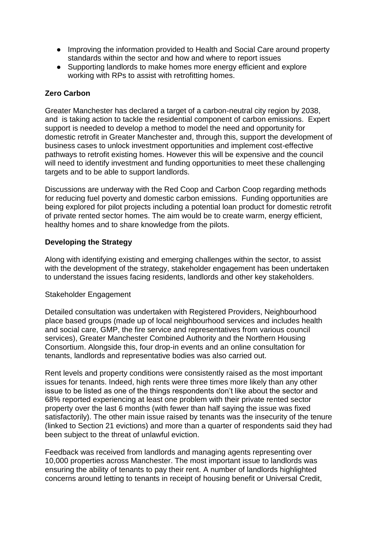- Improving the information provided to Health and Social Care around property standards within the sector and how and where to report issues
- Supporting landlords to make homes more energy efficient and explore working with RPs to assist with retrofitting homes.

## **Zero Carbon**

Greater Manchester has declared a target of a carbon-neutral city region by 2038, and is taking action to tackle the residential component of carbon emissions. Expert support is needed to develop a method to model the need and opportunity for domestic retrofit in Greater Manchester and, through this, support the development of business cases to unlock investment opportunities and implement cost-effective pathways to retrofit existing homes. However this will be expensive and the council will need to identify investment and funding opportunities to meet these challenging targets and to be able to support landlords.

Discussions are underway with the Red Coop and Carbon Coop regarding methods for reducing fuel poverty and domestic carbon emissions. Funding opportunities are being explored for pilot projects including a potential loan product for domestic retrofit of private rented sector homes. The aim would be to create warm, energy efficient, healthy homes and to share knowledge from the pilots.

## **Developing the Strategy**

Along with identifying existing and emerging challenges within the sector, to assist with the development of the strategy, stakeholder engagement has been undertaken to understand the issues facing residents, landlords and other key stakeholders.

#### Stakeholder Engagement

Detailed consultation was undertaken with Registered Providers, Neighbourhood place based groups (made up of local neighbourhood services and includes health and social care, GMP, the fire service and representatives from various council services), Greater Manchester Combined Authority and the Northern Housing Consortium. Alongside this, four drop-in events and an online consultation for tenants, landlords and representative bodies was also carried out.

Rent levels and property conditions were consistently raised as the most important issues for tenants. Indeed, high rents were three times more likely than any other issue to be listed as one of the things respondents don't like about the sector and 68% reported experiencing at least one problem with their private rented sector property over the last 6 months (with fewer than half saying the issue was fixed satisfactorily). The other main issue raised by tenants was the insecurity of the tenure (linked to Section 21 evictions) and more than a quarter of respondents said they had been subject to the threat of unlawful eviction.

Feedback was received from landlords and managing agents representing over 10,000 properties across Manchester. The most important issue to landlords was ensuring the ability of tenants to pay their rent. A number of landlords highlighted concerns around letting to tenants in receipt of housing benefit or Universal Credit,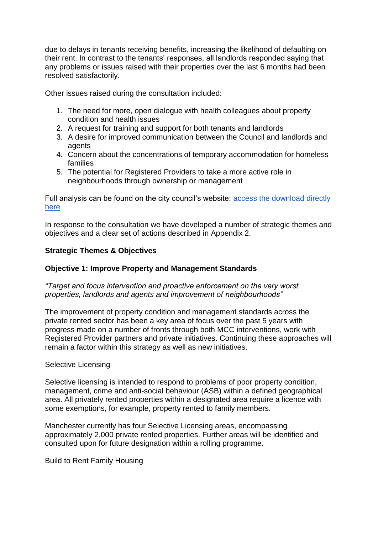due to delays in tenants receiving benefits, increasing the likelihood of defaulting on their rent. In contrast to the tenants' responses, all landlords responded saying that any problems or issues raised with their properties over the last 6 months had been resolved satisfactorily.

Other issues raised during the consultation included:

- 1. The need for more, open dialogue with health colleagues about property condition and health issues
- 2. A request for training and support for both tenants and landlords
- 3. A desire for improved communication between the Council and landlords and agents
- 4. Concern about the concentrations of temporary accommodation for homeless families
- 5. The potential for Registered Providers to take a more active role in neighbourhoods through ownership or management

Full analysis can be found on the city council's website: [access the download directly](https://www.manchester.gov.uk/downloads/download/7247/private_rented_sector_survey_results)  [here](https://www.manchester.gov.uk/downloads/download/7247/private_rented_sector_survey_results)

In response to the consultation we have developed a number of strategic themes and objectives and a clear set of actions described in Appendix 2.

## **Strategic Themes & Objectives**

## **Objective 1: Improve Property and Management Standards**

*"Target and focus intervention and proactive enforcement on the very worst properties, landlords and agents and improvement of neighbourhoods"*

The improvement of property condition and management standards across the private rented sector has been a key area of focus over the past 5 years with progress made on a number of fronts through both MCC interventions, work with Registered Provider partners and private initiatives. Continuing these approaches will remain a factor within this strategy as well as new initiatives.

#### Selective Licensing

Selective licensing is intended to respond to problems of poor property condition, management, crime and anti-social behaviour (ASB) within a defined geographical area. All privately rented properties within a designated area require a licence with some exemptions, for example, property rented to family members.

Manchester currently has four Selective Licensing areas, encompassing approximately 2,000 private rented properties. Further areas will be identified and consulted upon for future designation within a rolling programme.

Build to Rent Family Housing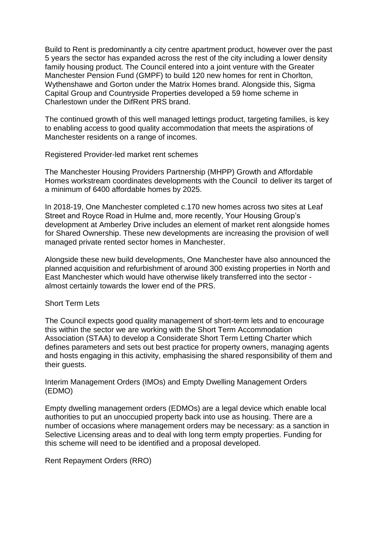Build to Rent is predominantly a city centre apartment product, however over the past 5 years the sector has expanded across the rest of the city including a lower density family housing product. The Council entered into a joint venture with the Greater Manchester Pension Fund (GMPF) to build 120 new homes for rent in Chorlton, Wythenshawe and Gorton under the Matrix Homes brand. Alongside this, Sigma Capital Group and Countryside Properties developed a 59 home scheme in Charlestown under the DifRent PRS brand.

The continued growth of this well managed lettings product, targeting families, is key to enabling access to good quality accommodation that meets the aspirations of Manchester residents on a range of incomes.

Registered Provider-led market rent schemes

The Manchester Housing Providers Partnership (MHPP) Growth and Affordable Homes workstream coordinates developments with the Council to deliver its target of a minimum of 6400 affordable homes by 2025.

In 2018-19, One Manchester completed c.170 new homes across two sites at Leaf Street and Royce Road in Hulme and, more recently, Your Housing Group's development at Amberley Drive includes an element of market rent alongside homes for Shared Ownership. These new developments are increasing the provision of well managed private rented sector homes in Manchester.

Alongside these new build developments, One Manchester have also announced the planned acquisition and refurbishment of around 300 existing properties in North and East Manchester which would have otherwise likely transferred into the sector almost certainly towards the lower end of the PRS.

#### Short Term Lets

The Council expects good quality management of short-term lets and to encourage this within the sector we are working with the Short Term Accommodation Association (STAA) to develop a Considerate Short Term Letting Charter which defines parameters and sets out best practice for property owners, managing agents and hosts engaging in this activity, emphasising the shared responsibility of them and their guests.

Interim Management Orders (IMOs) and Empty Dwelling Management Orders (EDMO)

Empty dwelling management orders (EDMOs) are a legal device which enable local authorities to put an unoccupied property back into use as housing. There are a number of occasions where management orders may be necessary: as a sanction in Selective Licensing areas and to deal with long term empty properties. Funding for this scheme will need to be identified and a proposal developed.

Rent Repayment Orders (RRO)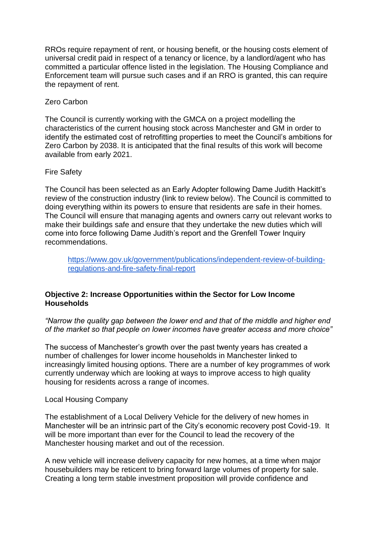RROs require repayment of rent, or housing benefit, or the housing costs element of universal credit paid in respect of a tenancy or licence, by a landlord/agent who has committed a particular offence listed in the legislation. The Housing Compliance and Enforcement team will pursue such cases and if an RRO is granted, this can require the repayment of rent.

## Zero Carbon

The Council is currently working with the GMCA on a project modelling the characteristics of the current housing stock across Manchester and GM in order to identify the estimated cost of retrofitting properties to meet the Council's ambitions for Zero Carbon by 2038. It is anticipated that the final results of this work will become available from early 2021.

## Fire Safety

The Council has been selected as an Early Adopter following Dame Judith Hackitt's review of the construction industry (link to review below). The Council is committed to doing everything within its powers to ensure that residents are safe in their homes. The Council will ensure that managing agents and owners carry out relevant works to make their buildings safe and ensure that they undertake the new duties which will come into force following Dame Judith's report and the Grenfell Tower Inquiry recommendations.

https://www.gov.uk/government/publications/independent-review-of-buildingregulations-and-fire-safety-final-report

## **Objective 2: Increase Opportunities within the Sector for Low Income Households**

*"Narrow the quality gap between the lower end and that of the middle and higher end of the market so that people on lower incomes have greater access and more choice"*

The success of Manchester's growth over the past twenty years has created a number of challenges for lower income households in Manchester linked to increasingly limited housing options. There are a number of key programmes of work currently underway which are looking at ways to improve access to high quality housing for residents across a range of incomes.

#### Local Housing Company

The establishment of a Local Delivery Vehicle for the delivery of new homes in Manchester will be an intrinsic part of the City's economic recovery post Covid-19. It will be more important than ever for the Council to lead the recovery of the Manchester housing market and out of the recession.

A new vehicle will increase delivery capacity for new homes, at a time when major housebuilders may be reticent to bring forward large volumes of property for sale. Creating a long term stable investment proposition will provide confidence and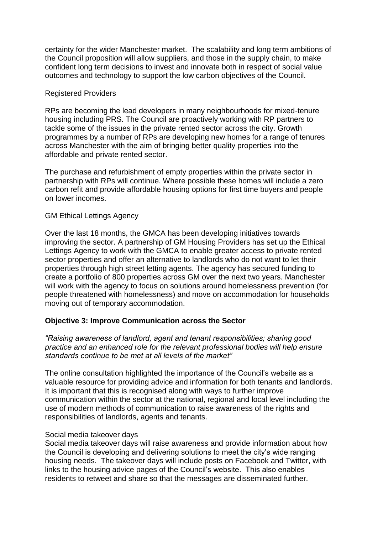certainty for the wider Manchester market. The scalability and long term ambitions of the Council proposition will allow suppliers, and those in the supply chain, to make confident long term decisions to invest and innovate both in respect of social value outcomes and technology to support the low carbon objectives of the Council.

#### Registered Providers

RPs are becoming the lead developers in many neighbourhoods for mixed-tenure housing including PRS. The Council are proactively working with RP partners to tackle some of the issues in the private rented sector across the city. Growth programmes by a number of RPs are developing new homes for a range of tenures across Manchester with the aim of bringing better quality properties into the affordable and private rented sector.

The purchase and refurbishment of empty properties within the private sector in partnership with RPs will continue. Where possible these homes will include a zero carbon refit and provide affordable housing options for first time buyers and people on lower incomes.

#### GM Ethical Lettings Agency

Over the last 18 months, the GMCA has been developing initiatives towards improving the sector. A partnership of GM Housing Providers has set up the Ethical Lettings Agency to work with the GMCA to enable greater access to private rented sector properties and offer an alternative to landlords who do not want to let their properties through high street letting agents. The agency has secured funding to create a portfolio of 800 properties across GM over the next two years. Manchester will work with the agency to focus on solutions around homelessness prevention (for people threatened with homelessness) and move on accommodation for households moving out of temporary accommodation.

#### **Objective 3: Improve Communication across the Sector**

*"Raising awareness of landlord, agent and tenant responsibilities; sharing good practice and an enhanced role for the relevant professional bodies will help ensure standards continue to be met at all levels of the market"*

The online consultation highlighted the importance of the Council's website as a valuable resource for providing advice and information for both tenants and landlords. It is important that this is recognised along with ways to further improve communication within the sector at the national, regional and local level including the use of modern methods of communication to raise awareness of the rights and responsibilities of landlords, agents and tenants.

#### Social media takeover days

Social media takeover days will raise awareness and provide information about how the Council is developing and delivering solutions to meet the city's wide ranging housing needs. The takeover days will include posts on Facebook and Twitter, with links to the housing advice pages of the Council's website. This also enables residents to retweet and share so that the messages are disseminated further.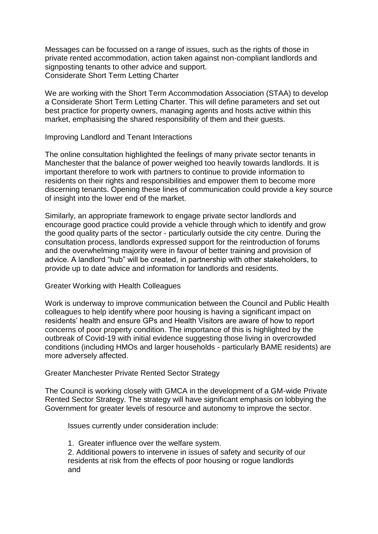Messages can be focussed on a range of issues, such as the rights of those in private rented accommodation, action taken against non-compliant landlords and signposting tenants to other advice and support. Considerate Short Term Letting Charter

We are working with the Short Term Accommodation Association (STAA) to develop a Considerate Short Term Letting Charter. This will define parameters and set out best practice for property owners, managing agents and hosts active within this market, emphasising the shared responsibility of them and their guests.

#### Improving Landlord and Tenant Interactions

The online consultation highlighted the feelings of many private sector tenants in Manchester that the balance of power weighed too heavily towards landlords. It is important therefore to work with partners to continue to provide information to residents on their rights and responsibilities and empower them to become more discerning tenants. Opening these lines of communication could provide a key source of insight into the lower end of the market.

Similarly, an appropriate framework to engage private sector landlords and encourage good practice could provide a vehicle through which to identify and grow the good quality parts of the sector - particularly outside the city centre. During the consultation process, landlords expressed support for the reintroduction of forums and the overwhelming majority were in favour of better training and provision of advice. A landlord "hub" will be created, in partnership with other stakeholders, to provide up to date advice and information for landlords and residents.

#### Greater Working with Health Colleagues

Work is underway to improve communication between the Council and Public Health colleagues to help identify where poor housing is having a significant impact on residents' health and ensure GPs and Health Visitors are aware of how to report concerns of poor property condition. The importance of this is highlighted by the outbreak of Covid-19 with initial evidence suggesting those living in overcrowded conditions (including HMOs and larger households - particularly BAME residents) are more adversely affected.

#### Greater Manchester Private Rented Sector Strategy

The Council is working closely with GMCA in the development of a GM-wide Private Rented Sector Strategy. The strategy will have significant emphasis on lobbying the Government for greater levels of resource and autonomy to improve the sector.

Issues currently under consideration include:

- 1. Greater influence over the welfare system.
- 2. Additional powers to intervene in issues of safety and security of our residents at risk from the effects of poor housing or rogue landlords and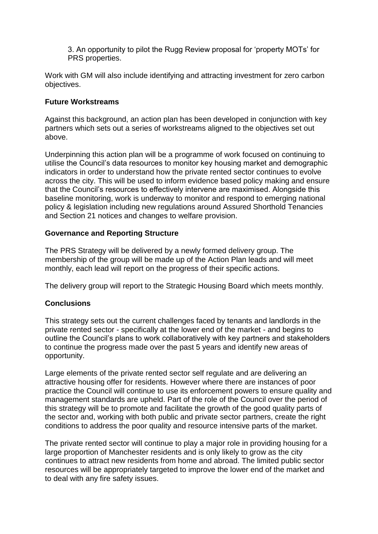3. An opportunity to pilot the Rugg Review proposal for 'property MOTs' for PRS properties.

Work with GM will also include identifying and attracting investment for zero carbon objectives.

## **Future Workstreams**

Against this background, an action plan has been developed in conjunction with key partners which sets out a series of workstreams aligned to the objectives set out above.

Underpinning this action plan will be a programme of work focused on continuing to utilise the Council's data resources to monitor key housing market and demographic indicators in order to understand how the private rented sector continues to evolve across the city. This will be used to inform evidence based policy making and ensure that the Council's resources to effectively intervene are maximised. Alongside this baseline monitoring, work is underway to monitor and respond to emerging national policy & legislation including new regulations around Assured Shorthold Tenancies and Section 21 notices and changes to welfare provision.

## **Governance and Reporting Structure**

The PRS Strategy will be delivered by a newly formed delivery group. The membership of the group will be made up of the Action Plan leads and will meet monthly, each lead will report on the progress of their specific actions.

The delivery group will report to the Strategic Housing Board which meets monthly.

# **Conclusions**

This strategy sets out the current challenges faced by tenants and landlords in the private rented sector - specifically at the lower end of the market - and begins to outline the Council's plans to work collaboratively with key partners and stakeholders to continue the progress made over the past 5 years and identify new areas of opportunity.

Large elements of the private rented sector self regulate and are delivering an attractive housing offer for residents. However where there are instances of poor practice the Council will continue to use its enforcement powers to ensure quality and management standards are upheld. Part of the role of the Council over the period of this strategy will be to promote and facilitate the growth of the good quality parts of the sector and, working with both public and private sector partners, create the right conditions to address the poor quality and resource intensive parts of the market.

The private rented sector will continue to play a major role in providing housing for a large proportion of Manchester residents and is only likely to grow as the city continues to attract new residents from home and abroad. The limited public sector resources will be appropriately targeted to improve the lower end of the market and to deal with any fire safety issues.